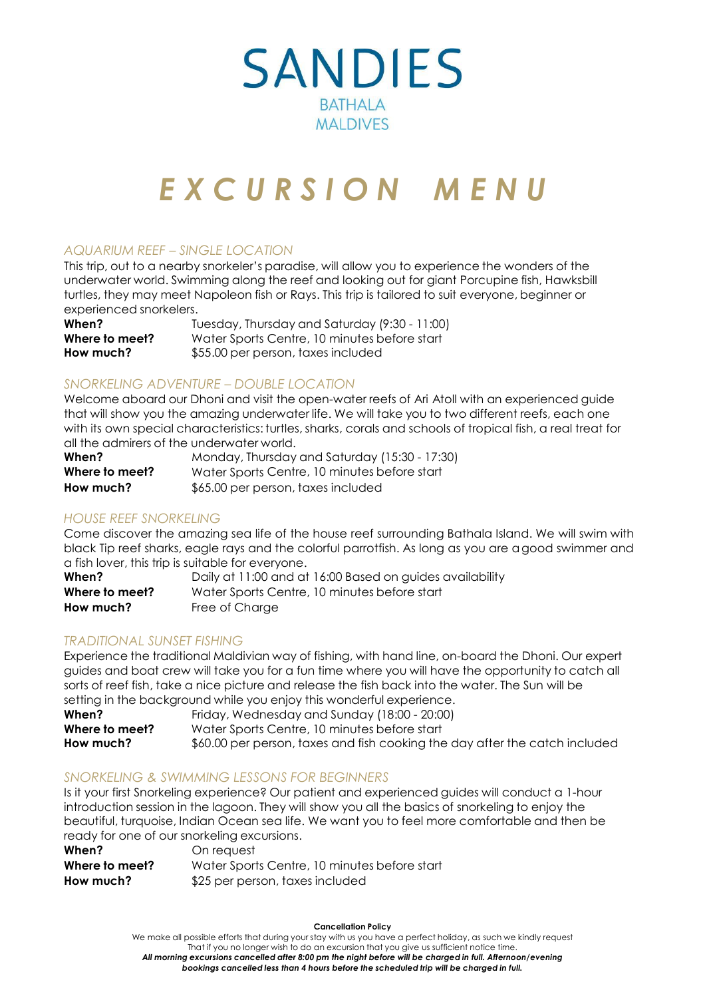

# *E X C U R S I O N M E N U*

## *AQUARIUM REEF – SINGLE LOCATION*

This trip, out to a nearby snorkeler's paradise, will allow you to experience the wonders of the underwater world. Swimming along the reef and looking out for giant Porcupine fish, Hawksbill turtles, they may meet Napoleon fish or Rays. This trip is tailored to suit everyone, beginner or experienced snorkelers.

**When?** Tuesday, Thursday and Saturday (9:30 - 11:00) **Where to meet?** Water Sports Centre, 10 minutes before start **How much?** \$55.00 per person, taxes included

#### *SNORKELING ADVENTURE – DOUBLE LOCATION*

Welcome aboard our Dhoni and visit the open-water reefs of Ari Atoll with an experienced guide that will show you the amazing underwater life. We will take you to two different reefs, each one with its own special characteristics: turtles, sharks, corals and schools of tropical fish, a real treat for all the admirers of the underwater world.

| When?          | Monday, Thursday and Saturday (15:30 - 17:30) |
|----------------|-----------------------------------------------|
| Where to meet? | Water Sports Centre, 10 minutes before start  |
| How much?      | \$65.00 per person, taxes included            |

#### *HOUSE REEF SNORKELING*

Come discover the amazing sea life of the house reef surrounding Bathala Island. We will swim with black Tip reef sharks, eagle rays and the colorful parrotfish. As long as you are agood swimmer and a fish lover, this trip is suitable for everyone.

| When?          | Daily at 11:00 and at 16:00 Based on guides availability |
|----------------|----------------------------------------------------------|
| Where to meet? | Water Sports Centre, 10 minutes before start             |
| How much?      | Free of Charae                                           |

#### *TRADITIONAL SUNSET FISHING*

Experience the traditional Maldivian way of fishing, with hand line, on-board the Dhoni. Our expert guides and boat crew will take you for a fun time where you will have the opportunity to catch all sorts of reef fish, take a nice picture and release the fish back into the water. The Sun will be setting in the background while you enjoy this wonderful experience.

| When?          | Friday, Wednesday and Sunday (18:00 - 20:00)                                |
|----------------|-----------------------------------------------------------------------------|
| Where to meet? | Water Sports Centre, 10 minutes before start                                |
| How much?      | \$60.00 per person, taxes and fish cooking the day after the catch included |

#### *SNORKELING & SWIMMING LESSONS FOR BEGINNERS*

Is it your first Snorkeling experience? Our patient and experienced guides will conduct a 1-hour introduction session in the lagoon. They will show you all the basics of snorkeling to enjoy the beautiful, turquoise, Indian Ocean sea life. We want you to feel more comfortable and then be ready for one of our snorkeling excursions.

| When?          | On request                                   |
|----------------|----------------------------------------------|
| Where to meet? | Water Sports Centre, 10 minutes before start |
| How much?      | \$25 per person, taxes included              |

**Cancellation Policy**

We make all possible efforts that during your stay with us you have a perfect holiday, as such we kindly request That if you no longer wish to do an excursion that you give us sufficient notice time. *All morning excursions cancelled after 8:00 pm the night before will be charged in full. Afternoon/evening bookings cancelled less than 4 hours before the scheduled trip will be charged in full.*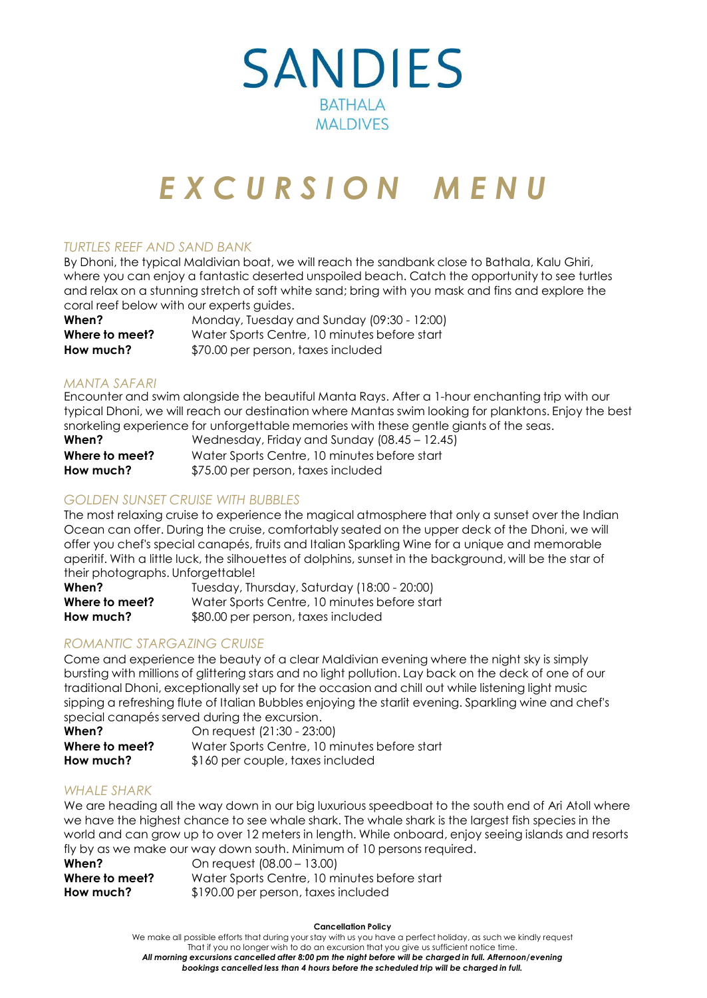

# *E X C U R S I O N M E N U*

### *TURTLES REEF AND SAND BANK*

By Dhoni, the typical Maldivian boat, we will reach the sandbank close to Bathala, Kalu Ghiri, where you can enjoy a fantastic deserted unspoiled beach. Catch the opportunity to see turtles and relax on a stunning stretch of soft white sand; bring with you mask and fins and explore the coral reef below with our experts guides.

| When?          | Monday, Tuesday and Sunday (09:30 - 12:00)   |
|----------------|----------------------------------------------|
| Where to meet? | Water Sports Centre, 10 minutes before start |
| How much?      | \$70.00 per person, taxes included           |

#### *MANTA SAFARI*

Encounter and swim alongside the beautiful Manta Rays. After a 1-hour enchanting trip with our typical Dhoni, we will reach our destination where Mantas swim looking for planktons. Enjoy the best snorkeling experience for unforgettable memories with these gentle giants of the seas.

| When?          | Wednesday, Friday and Sunday (08.45 - 12.45) |
|----------------|----------------------------------------------|
| Where to meet? | Water Sports Centre, 10 minutes before start |
| How much?      | \$75.00 per person, taxes included           |

### *GOLDEN SUNSET CRUISE WITH BUBBLES*

The most relaxing cruise to experience the magical atmosphere that only a sunset over the Indian Ocean can offer. During the cruise, comfortably seated on the upper deck of the Dhoni, we will offer you chef's special canapés, fruits and Italian Sparkling Wine for a unique and memorable aperitif. With a little luck, the silhouettes of dolphins, sunset in the background, will be the star of their photographs. Unforgettable!

| When?          | Tuesday, Thursday, Saturday (18:00 - 20:00)  |
|----------------|----------------------------------------------|
| Where to meet? | Water Sports Centre, 10 minutes before start |
| How much?      | \$80.00 per person, taxes included           |

# *ROMANTIC STARGAZING CRUISE*

Come and experience the beauty of a clear Maldivian evening where the night sky is simply bursting with millions of glittering stars and no light pollution. Lay back on the deck of one of our traditional Dhoni, exceptionally set up for the occasion and chill out while listening light music sipping a refreshing flute of Italian Bubbles enjoying the starlit evening. Sparkling wine and chef's special canapés served during the excursion.

| When?          | On request (21:30 - 23:00)                   |
|----------------|----------------------------------------------|
| Where to meet? | Water Sports Centre, 10 minutes before start |
| How much?      | \$160 per couple, taxes included             |

#### *WHALE SHARK*

We are heading all the way down in our big luxurious speedboat to the south end of Ari Atoll where we have the highest chance to see whale shark. The whale shark is the largest fish species in the world and can grow up to over 12 meters in length. While onboard, enjoy seeing islands and resorts fly by as we make our way down south. Minimum of 10 persons required.

| When?          | On request (08.00 - 13.00)                   |
|----------------|----------------------------------------------|
| Where to meet? | Water Sports Centre, 10 minutes before start |
| How much?      | \$190.00 per person, taxes included          |

#### **Cancellation Policy**

We make all possible efforts that during your stay with us you have a perfect holiday, as such we kindly request That if you no longer wish to do an excursion that you give us sufficient notice time. *All morning excursions cancelled after 8:00 pm the night before will be charged in full. Afternoon/evening bookings cancelled less than 4 hours before the scheduled trip will be charged in full.*